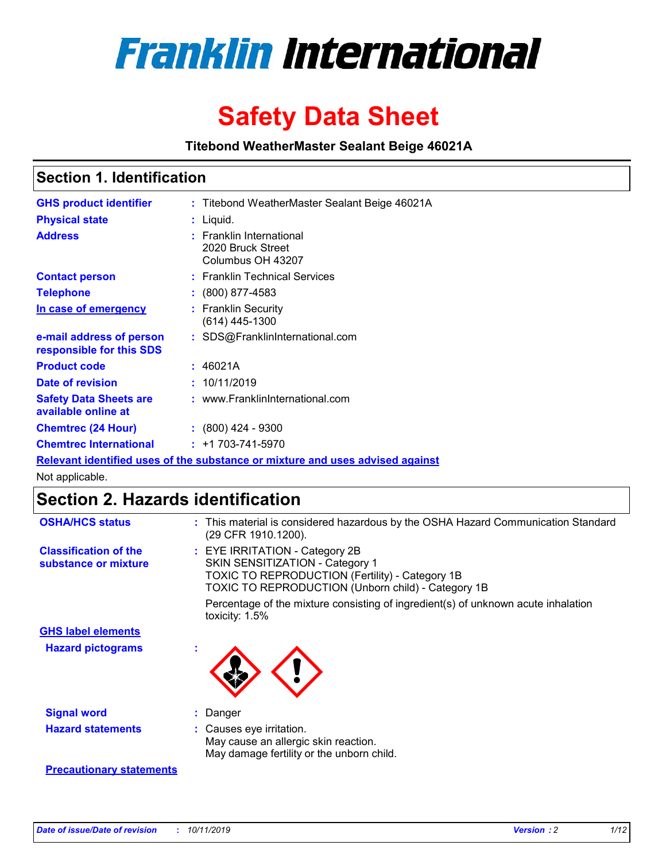

# **Safety Data Sheet**

**Titebond WeatherMaster Sealant Beige 46021A**

## **Section 1. Identification**

| <b>GHS product identifier</b>                        | : Titebond WeatherMaster Sealant Beige 46021A                                 |
|------------------------------------------------------|-------------------------------------------------------------------------------|
| <b>Physical state</b>                                | : Liquid.                                                                     |
| <b>Address</b>                                       | : Franklin International<br>2020 Bruck Street<br>Columbus OH 43207            |
| <b>Contact person</b>                                | : Franklin Technical Services                                                 |
| <b>Telephone</b>                                     | $\colon$ (800) 877-4583                                                       |
| In case of emergency                                 | : Franklin Security<br>(614) 445-1300                                         |
| e-mail address of person<br>responsible for this SDS | : SDS@FranklinInternational.com                                               |
| <b>Product code</b>                                  | : 46021A                                                                      |
| Date of revision                                     | : 10/11/2019                                                                  |
| <b>Safety Data Sheets are</b><br>available online at | : www.FranklinInternational.com                                               |
| <b>Chemtrec (24 Hour)</b>                            | $\div$ (800) 424 - 9300                                                       |
| <b>Chemtrec International</b>                        | $: +1703 - 741 - 5970$                                                        |
|                                                      | Relevant identified uses of the substance or mixture and uses advised against |

Not applicable.

# **Section 2. Hazards identification**

| <b>OSHA/HCS status</b>                               | : This material is considered hazardous by the OSHA Hazard Communication Standard<br>(29 CFR 1910.1200).                                                                                 |
|------------------------------------------------------|------------------------------------------------------------------------------------------------------------------------------------------------------------------------------------------|
| <b>Classification of the</b><br>substance or mixture | : EYE IRRITATION - Category 2B<br>SKIN SENSITIZATION - Category 1<br><b>TOXIC TO REPRODUCTION (Fertility) - Category 1B</b><br><b>TOXIC TO REPRODUCTION (Unborn child) - Category 1B</b> |
|                                                      | Percentage of the mixture consisting of ingredient(s) of unknown acute inhalation<br>toxicity: $1.5\%$                                                                                   |
| <b>GHS label elements</b>                            |                                                                                                                                                                                          |
| <b>Hazard pictograms</b>                             |                                                                                                                                                                                          |
| <b>Signal word</b>                                   | : Danger                                                                                                                                                                                 |
| <b>Hazard statements</b>                             | : Causes eye irritation.<br>May cause an allergic skin reaction.<br>May damage fertility or the unborn child.                                                                            |
| <b>Precautionary statements</b>                      |                                                                                                                                                                                          |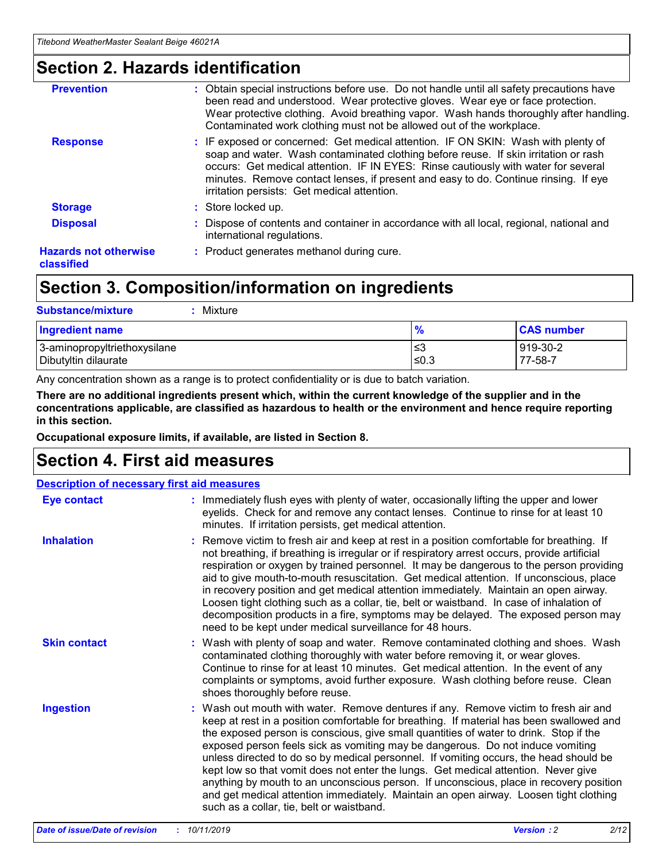## **Section 2. Hazards identification**

| <b>Prevention</b>                          | : Obtain special instructions before use. Do not handle until all safety precautions have<br>been read and understood. Wear protective gloves. Wear eye or face protection.<br>Wear protective clothing. Avoid breathing vapor. Wash hands thoroughly after handling.<br>Contaminated work clothing must not be allowed out of the workplace.                                                        |
|--------------------------------------------|------------------------------------------------------------------------------------------------------------------------------------------------------------------------------------------------------------------------------------------------------------------------------------------------------------------------------------------------------------------------------------------------------|
| <b>Response</b>                            | : IF exposed or concerned: Get medical attention. IF ON SKIN: Wash with plenty of<br>soap and water. Wash contaminated clothing before reuse. If skin irritation or rash<br>occurs: Get medical attention. IF IN EYES: Rinse cautiously with water for several<br>minutes. Remove contact lenses, if present and easy to do. Continue rinsing. If eye<br>irritation persists: Get medical attention. |
| <b>Storage</b>                             | : Store locked up.                                                                                                                                                                                                                                                                                                                                                                                   |
| <b>Disposal</b>                            | : Dispose of contents and container in accordance with all local, regional, national and<br>international regulations.                                                                                                                                                                                                                                                                               |
| <b>Hazards not otherwise</b><br>classified | : Product generates methanol during cure.                                                                                                                                                                                                                                                                                                                                                            |
|                                            |                                                                                                                                                                                                                                                                                                                                                                                                      |

# **Section 3. Composition/information on ingredients**

| <b>Substance/mixture</b><br>Mixture                  |                   |                     |
|------------------------------------------------------|-------------------|---------------------|
| <b>Ingredient name</b>                               | $\frac{9}{6}$     | <b>CAS number</b>   |
| 3-aminopropyltriethoxysilane<br>Dibutyltin dilaurate | l≤3<br>$\leq 0.3$ | 919-30-2<br>77-58-7 |

Any concentration shown as a range is to protect confidentiality or is due to batch variation.

**There are no additional ingredients present which, within the current knowledge of the supplier and in the concentrations applicable, are classified as hazardous to health or the environment and hence require reporting in this section.**

**Occupational exposure limits, if available, are listed in Section 8.**

# **Section 4. First aid measures**

| <b>Description of necessary first aid measures</b> |                                                                                                                                                                                                                                                                                                                                                                                                                                                                                                                                                                                                                                                                                                                                                                           |  |  |  |
|----------------------------------------------------|---------------------------------------------------------------------------------------------------------------------------------------------------------------------------------------------------------------------------------------------------------------------------------------------------------------------------------------------------------------------------------------------------------------------------------------------------------------------------------------------------------------------------------------------------------------------------------------------------------------------------------------------------------------------------------------------------------------------------------------------------------------------------|--|--|--|
| <b>Eye contact</b>                                 | : Immediately flush eyes with plenty of water, occasionally lifting the upper and lower<br>eyelids. Check for and remove any contact lenses. Continue to rinse for at least 10<br>minutes. If irritation persists, get medical attention.                                                                                                                                                                                                                                                                                                                                                                                                                                                                                                                                 |  |  |  |
| <b>Inhalation</b>                                  | : Remove victim to fresh air and keep at rest in a position comfortable for breathing. If<br>not breathing, if breathing is irregular or if respiratory arrest occurs, provide artificial<br>respiration or oxygen by trained personnel. It may be dangerous to the person providing<br>aid to give mouth-to-mouth resuscitation. Get medical attention. If unconscious, place<br>in recovery position and get medical attention immediately. Maintain an open airway.<br>Loosen tight clothing such as a collar, tie, belt or waistband. In case of inhalation of<br>decomposition products in a fire, symptoms may be delayed. The exposed person may<br>need to be kept under medical surveillance for 48 hours.                                                       |  |  |  |
| <b>Skin contact</b>                                | : Wash with plenty of soap and water. Remove contaminated clothing and shoes. Wash<br>contaminated clothing thoroughly with water before removing it, or wear gloves.<br>Continue to rinse for at least 10 minutes. Get medical attention. In the event of any<br>complaints or symptoms, avoid further exposure. Wash clothing before reuse. Clean<br>shoes thoroughly before reuse.                                                                                                                                                                                                                                                                                                                                                                                     |  |  |  |
| <b>Ingestion</b>                                   | : Wash out mouth with water. Remove dentures if any. Remove victim to fresh air and<br>keep at rest in a position comfortable for breathing. If material has been swallowed and<br>the exposed person is conscious, give small quantities of water to drink. Stop if the<br>exposed person feels sick as vomiting may be dangerous. Do not induce vomiting<br>unless directed to do so by medical personnel. If vomiting occurs, the head should be<br>kept low so that vomit does not enter the lungs. Get medical attention. Never give<br>anything by mouth to an unconscious person. If unconscious, place in recovery position<br>and get medical attention immediately. Maintain an open airway. Loosen tight clothing<br>such as a collar, tie, belt or waistband. |  |  |  |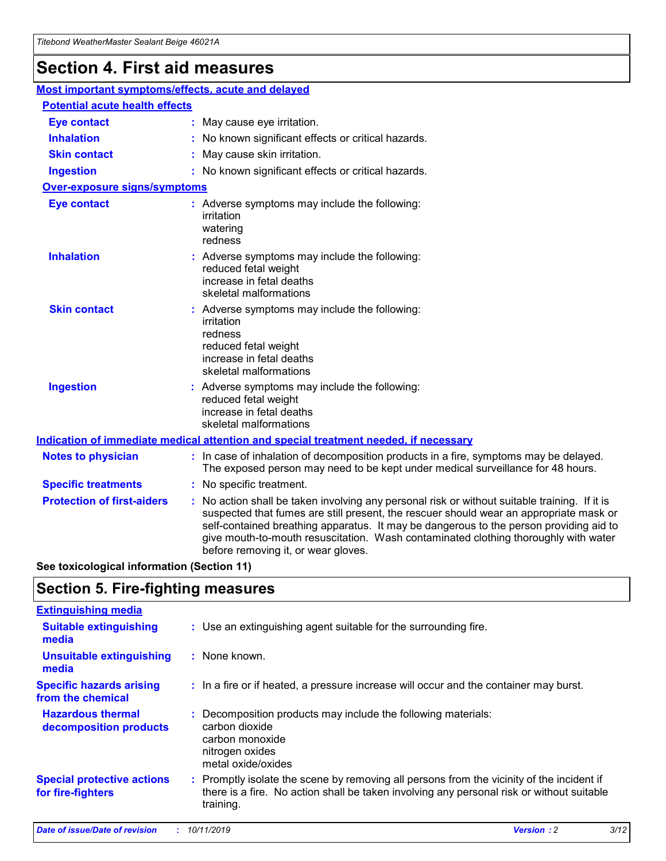# **Section 4. First aid measures**

| Most important symptoms/effects, acute and delayed |                                       |                                                                                                                                                                                                                                                                                                                                                                                                                 |  |  |  |
|----------------------------------------------------|---------------------------------------|-----------------------------------------------------------------------------------------------------------------------------------------------------------------------------------------------------------------------------------------------------------------------------------------------------------------------------------------------------------------------------------------------------------------|--|--|--|
|                                                    | <b>Potential acute health effects</b> |                                                                                                                                                                                                                                                                                                                                                                                                                 |  |  |  |
| <b>Eye contact</b>                                 |                                       | : May cause eye irritation.                                                                                                                                                                                                                                                                                                                                                                                     |  |  |  |
| <b>Inhalation</b>                                  |                                       | : No known significant effects or critical hazards.                                                                                                                                                                                                                                                                                                                                                             |  |  |  |
| <b>Skin contact</b>                                |                                       | : May cause skin irritation.                                                                                                                                                                                                                                                                                                                                                                                    |  |  |  |
| <b>Ingestion</b>                                   |                                       | : No known significant effects or critical hazards.                                                                                                                                                                                                                                                                                                                                                             |  |  |  |
| <b>Over-exposure signs/symptoms</b>                |                                       |                                                                                                                                                                                                                                                                                                                                                                                                                 |  |  |  |
| <b>Eye contact</b>                                 |                                       | : Adverse symptoms may include the following:<br>irritation<br>watering<br>redness                                                                                                                                                                                                                                                                                                                              |  |  |  |
| <b>Inhalation</b>                                  |                                       | : Adverse symptoms may include the following:<br>reduced fetal weight<br>increase in fetal deaths<br>skeletal malformations                                                                                                                                                                                                                                                                                     |  |  |  |
| <b>Skin contact</b>                                |                                       | : Adverse symptoms may include the following:<br>irritation<br>redness<br>reduced fetal weight<br>increase in fetal deaths<br>skeletal malformations                                                                                                                                                                                                                                                            |  |  |  |
| <b>Ingestion</b>                                   |                                       | : Adverse symptoms may include the following:<br>reduced fetal weight<br>increase in fetal deaths<br>skeletal malformations                                                                                                                                                                                                                                                                                     |  |  |  |
|                                                    |                                       | <b>Indication of immediate medical attention and special treatment needed, if necessary</b>                                                                                                                                                                                                                                                                                                                     |  |  |  |
| <b>Notes to physician</b>                          |                                       | : In case of inhalation of decomposition products in a fire, symptoms may be delayed.<br>The exposed person may need to be kept under medical surveillance for 48 hours.                                                                                                                                                                                                                                        |  |  |  |
| <b>Specific treatments</b>                         |                                       | : No specific treatment.                                                                                                                                                                                                                                                                                                                                                                                        |  |  |  |
| <b>Protection of first-aiders</b>                  |                                       | : No action shall be taken involving any personal risk or without suitable training. If it is<br>suspected that fumes are still present, the rescuer should wear an appropriate mask or<br>self-contained breathing apparatus. It may be dangerous to the person providing aid to<br>give mouth-to-mouth resuscitation. Wash contaminated clothing thoroughly with water<br>before removing it, or wear gloves. |  |  |  |

**See toxicological information (Section 11)**

## **Section 5. Fire-fighting measures**

| <b>Extinguishing media</b>                             |                                                                                                                                                                                                     |
|--------------------------------------------------------|-----------------------------------------------------------------------------------------------------------------------------------------------------------------------------------------------------|
| <b>Suitable extinguishing</b><br>media                 | : Use an extinguishing agent suitable for the surrounding fire.                                                                                                                                     |
| <b>Unsuitable extinguishing</b><br>media               | : None known.                                                                                                                                                                                       |
| <b>Specific hazards arising</b><br>from the chemical   | : In a fire or if heated, a pressure increase will occur and the container may burst.                                                                                                               |
| <b>Hazardous thermal</b><br>decomposition products     | : Decomposition products may include the following materials:<br>carbon dioxide<br>carbon monoxide<br>nitrogen oxides<br>metal oxide/oxides                                                         |
| <b>Special protective actions</b><br>for fire-fighters | : Promptly isolate the scene by removing all persons from the vicinity of the incident if<br>there is a fire. No action shall be taken involving any personal risk or without suitable<br>training. |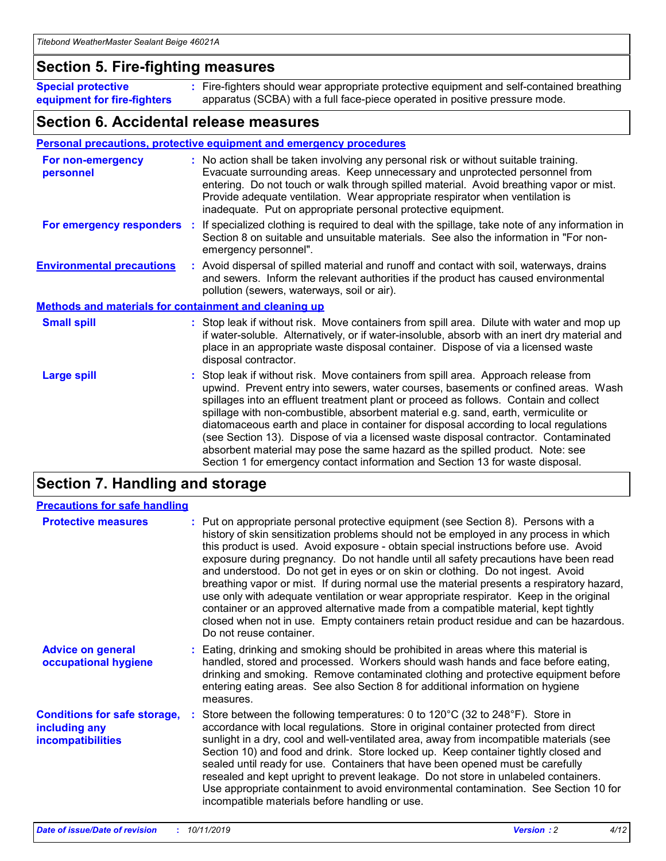### **Section 5. Fire-fighting measures**

**Special protective equipment for fire-fighters** Fire-fighters should wear appropriate protective equipment and self-contained breathing **:** apparatus (SCBA) with a full face-piece operated in positive pressure mode.

### **Section 6. Accidental release measures**

#### **Personal precautions, protective equipment and emergency procedures**

| For non-emergency<br>personnel                               | : No action shall be taken involving any personal risk or without suitable training.<br>Evacuate surrounding areas. Keep unnecessary and unprotected personnel from<br>entering. Do not touch or walk through spilled material. Avoid breathing vapor or mist.<br>Provide adequate ventilation. Wear appropriate respirator when ventilation is<br>inadequate. Put on appropriate personal protective equipment.                                                                                                                                                                                                                                                                                             |
|--------------------------------------------------------------|--------------------------------------------------------------------------------------------------------------------------------------------------------------------------------------------------------------------------------------------------------------------------------------------------------------------------------------------------------------------------------------------------------------------------------------------------------------------------------------------------------------------------------------------------------------------------------------------------------------------------------------------------------------------------------------------------------------|
|                                                              | For emergency responders : If specialized clothing is required to deal with the spillage, take note of any information in<br>Section 8 on suitable and unsuitable materials. See also the information in "For non-<br>emergency personnel".                                                                                                                                                                                                                                                                                                                                                                                                                                                                  |
| <b>Environmental precautions</b>                             | : Avoid dispersal of spilled material and runoff and contact with soil, waterways, drains<br>and sewers. Inform the relevant authorities if the product has caused environmental<br>pollution (sewers, waterways, soil or air).                                                                                                                                                                                                                                                                                                                                                                                                                                                                              |
| <b>Methods and materials for containment and cleaning up</b> |                                                                                                                                                                                                                                                                                                                                                                                                                                                                                                                                                                                                                                                                                                              |
| <b>Small spill</b>                                           | : Stop leak if without risk. Move containers from spill area. Dilute with water and mop up<br>if water-soluble. Alternatively, or if water-insoluble, absorb with an inert dry material and<br>place in an appropriate waste disposal container. Dispose of via a licensed waste<br>disposal contractor.                                                                                                                                                                                                                                                                                                                                                                                                     |
| <b>Large spill</b>                                           | : Stop leak if without risk. Move containers from spill area. Approach release from<br>upwind. Prevent entry into sewers, water courses, basements or confined areas. Wash<br>spillages into an effluent treatment plant or proceed as follows. Contain and collect<br>spillage with non-combustible, absorbent material e.g. sand, earth, vermiculite or<br>diatomaceous earth and place in container for disposal according to local regulations<br>(see Section 13). Dispose of via a licensed waste disposal contractor. Contaminated<br>absorbent material may pose the same hazard as the spilled product. Note: see<br>Section 1 for emergency contact information and Section 13 for waste disposal. |

# **Section 7. Handling and storage**

| <b>Precautions for safe handling</b>                                             |                                                                                                                                                                                                                                                                                                                                                                                                                                                                                                                                                                                                                                                                                                                                                                                                                                                  |
|----------------------------------------------------------------------------------|--------------------------------------------------------------------------------------------------------------------------------------------------------------------------------------------------------------------------------------------------------------------------------------------------------------------------------------------------------------------------------------------------------------------------------------------------------------------------------------------------------------------------------------------------------------------------------------------------------------------------------------------------------------------------------------------------------------------------------------------------------------------------------------------------------------------------------------------------|
| <b>Protective measures</b>                                                       | : Put on appropriate personal protective equipment (see Section 8). Persons with a<br>history of skin sensitization problems should not be employed in any process in which<br>this product is used. Avoid exposure - obtain special instructions before use. Avoid<br>exposure during pregnancy. Do not handle until all safety precautions have been read<br>and understood. Do not get in eyes or on skin or clothing. Do not ingest. Avoid<br>breathing vapor or mist. If during normal use the material presents a respiratory hazard,<br>use only with adequate ventilation or wear appropriate respirator. Keep in the original<br>container or an approved alternative made from a compatible material, kept tightly<br>closed when not in use. Empty containers retain product residue and can be hazardous.<br>Do not reuse container. |
| <b>Advice on general</b><br>occupational hygiene                                 | : Eating, drinking and smoking should be prohibited in areas where this material is<br>handled, stored and processed. Workers should wash hands and face before eating,<br>drinking and smoking. Remove contaminated clothing and protective equipment before<br>entering eating areas. See also Section 8 for additional information on hygiene<br>measures.                                                                                                                                                                                                                                                                                                                                                                                                                                                                                    |
| <b>Conditions for safe storage,</b><br>including any<br><b>incompatibilities</b> | : Store between the following temperatures: 0 to 120 $\degree$ C (32 to 248 $\degree$ F). Store in<br>accordance with local regulations. Store in original container protected from direct<br>sunlight in a dry, cool and well-ventilated area, away from incompatible materials (see<br>Section 10) and food and drink. Store locked up. Keep container tightly closed and<br>sealed until ready for use. Containers that have been opened must be carefully<br>resealed and kept upright to prevent leakage. Do not store in unlabeled containers.<br>Use appropriate containment to avoid environmental contamination. See Section 10 for<br>incompatible materials before handling or use.                                                                                                                                                   |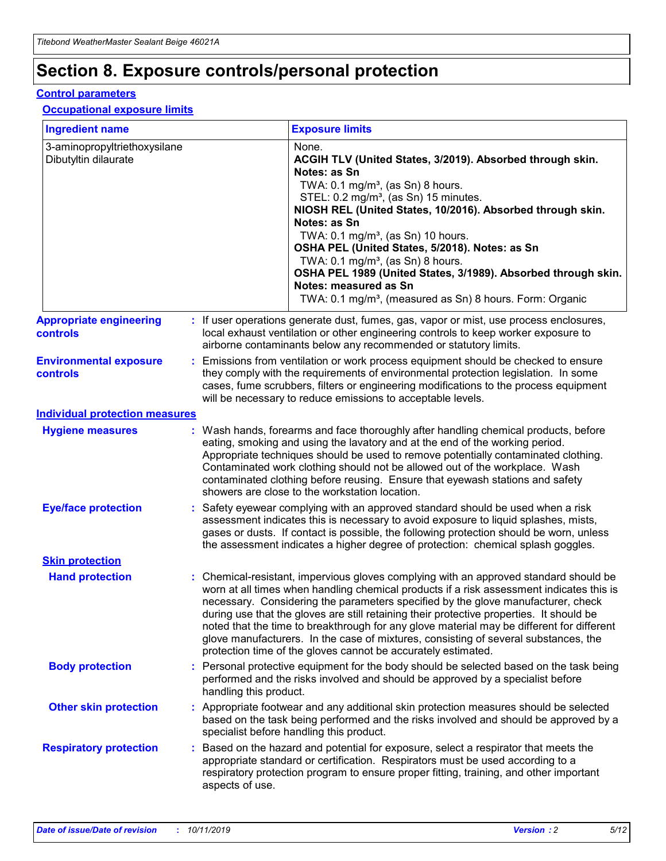# **Section 8. Exposure controls/personal protection**

#### **Control parameters**

#### **Occupational exposure limits**

| <b>Ingredient name</b>                               |    |                                          | <b>Exposure limits</b>                                                                                                                                                                                                                                                                                                                                                                                                                                                                                                                                                                                                 |
|------------------------------------------------------|----|------------------------------------------|------------------------------------------------------------------------------------------------------------------------------------------------------------------------------------------------------------------------------------------------------------------------------------------------------------------------------------------------------------------------------------------------------------------------------------------------------------------------------------------------------------------------------------------------------------------------------------------------------------------------|
| 3-aminopropyltriethoxysilane<br>Dibutyltin dilaurate |    |                                          | None.<br>ACGIH TLV (United States, 3/2019). Absorbed through skin.<br>Notes: as Sn<br>TWA: 0.1 mg/m <sup>3</sup> , (as Sn) 8 hours.<br>STEL: 0.2 mg/m <sup>3</sup> , (as Sn) 15 minutes.<br>NIOSH REL (United States, 10/2016). Absorbed through skin.<br>Notes: as Sn<br>TWA: 0.1 mg/m <sup>3</sup> , (as Sn) 10 hours.<br>OSHA PEL (United States, 5/2018). Notes: as Sn<br>TWA: $0.1 \text{ mg/m}^3$ , (as Sn) 8 hours.<br>OSHA PEL 1989 (United States, 3/1989). Absorbed through skin.<br>Notes: measured as Sn<br>TWA: 0.1 mg/m <sup>3</sup> , (measured as Sn) 8 hours. Form: Organic                           |
| <b>Appropriate engineering</b><br>controls           |    |                                          | : If user operations generate dust, fumes, gas, vapor or mist, use process enclosures,<br>local exhaust ventilation or other engineering controls to keep worker exposure to<br>airborne contaminants below any recommended or statutory limits.                                                                                                                                                                                                                                                                                                                                                                       |
| <b>Environmental exposure</b><br><b>controls</b>     |    |                                          | Emissions from ventilation or work process equipment should be checked to ensure<br>they comply with the requirements of environmental protection legislation. In some<br>cases, fume scrubbers, filters or engineering modifications to the process equipment<br>will be necessary to reduce emissions to acceptable levels.                                                                                                                                                                                                                                                                                          |
| <b>Individual protection measures</b>                |    |                                          |                                                                                                                                                                                                                                                                                                                                                                                                                                                                                                                                                                                                                        |
| <b>Hygiene measures</b>                              |    |                                          | : Wash hands, forearms and face thoroughly after handling chemical products, before<br>eating, smoking and using the lavatory and at the end of the working period.<br>Appropriate techniques should be used to remove potentially contaminated clothing.<br>Contaminated work clothing should not be allowed out of the workplace. Wash<br>contaminated clothing before reusing. Ensure that eyewash stations and safety<br>showers are close to the workstation location.                                                                                                                                            |
| <b>Eye/face protection</b>                           |    |                                          | : Safety eyewear complying with an approved standard should be used when a risk<br>assessment indicates this is necessary to avoid exposure to liquid splashes, mists,<br>gases or dusts. If contact is possible, the following protection should be worn, unless<br>the assessment indicates a higher degree of protection: chemical splash goggles.                                                                                                                                                                                                                                                                  |
| <b>Skin protection</b>                               |    |                                          |                                                                                                                                                                                                                                                                                                                                                                                                                                                                                                                                                                                                                        |
| <b>Hand protection</b>                               |    |                                          | : Chemical-resistant, impervious gloves complying with an approved standard should be<br>worn at all times when handling chemical products if a risk assessment indicates this is<br>necessary. Considering the parameters specified by the glove manufacturer, check<br>during use that the gloves are still retaining their protective properties. It should be<br>noted that the time to breakthrough for any glove material may be different for different<br>glove manufacturers. In the case of mixtures, consisting of several substances, the<br>protection time of the gloves cannot be accurately estimated. |
| <b>Body protection</b>                               |    | handling this product.                   | Personal protective equipment for the body should be selected based on the task being<br>performed and the risks involved and should be approved by a specialist before                                                                                                                                                                                                                                                                                                                                                                                                                                                |
| <b>Other skin protection</b>                         |    | specialist before handling this product. | : Appropriate footwear and any additional skin protection measures should be selected<br>based on the task being performed and the risks involved and should be approved by a                                                                                                                                                                                                                                                                                                                                                                                                                                          |
| <b>Respiratory protection</b>                        | ÷. | aspects of use.                          | Based on the hazard and potential for exposure, select a respirator that meets the<br>appropriate standard or certification. Respirators must be used according to a<br>respiratory protection program to ensure proper fitting, training, and other important                                                                                                                                                                                                                                                                                                                                                         |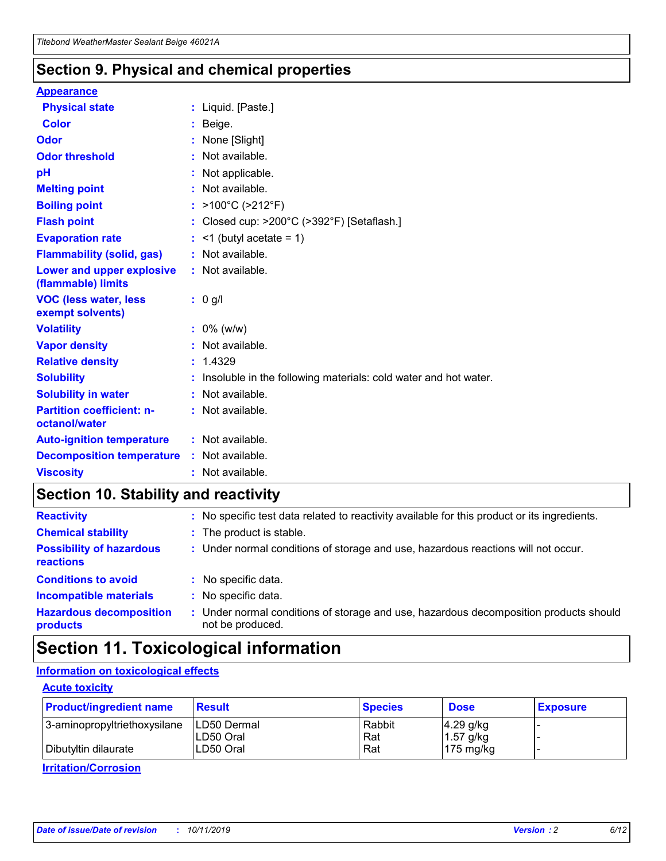## **Section 9. Physical and chemical properties**

#### **Appearance**

| <b>Physical state</b>                             | : Liquid. [Paste.]                                                |
|---------------------------------------------------|-------------------------------------------------------------------|
| Color                                             | Beige.                                                            |
| Odor                                              | None [Slight]                                                     |
| <b>Odor threshold</b>                             | : Not available.                                                  |
| рH                                                | : Not applicable.                                                 |
| <b>Melting point</b>                              | : Not available.                                                  |
| <b>Boiling point</b>                              | : $>100^{\circ}$ C ( $>212^{\circ}$ F)                            |
| <b>Flash point</b>                                | : Closed cup: $>200^{\circ}$ C ( $>392^{\circ}$ F) [Setaflash.]   |
| <b>Evaporation rate</b>                           | $:$ <1 (butyl acetate = 1)                                        |
| <b>Flammability (solid, gas)</b>                  | : Not available.                                                  |
| Lower and upper explosive<br>(flammable) limits   | : Not available.                                                  |
| <b>VOC (less water, less</b><br>exempt solvents)  | $: 0$ g/l                                                         |
| <b>Volatility</b>                                 | $: 0\%$ (w/w)                                                     |
| <b>Vapor density</b>                              | : Not available.                                                  |
| <b>Relative density</b>                           | : 1.4329                                                          |
| <b>Solubility</b>                                 | : Insoluble in the following materials: cold water and hot water. |
| <b>Solubility in water</b>                        | : Not available.                                                  |
| <b>Partition coefficient: n-</b><br>octanol/water | : Not available.                                                  |
| <b>Auto-ignition temperature</b>                  | : Not available.                                                  |
| <b>Decomposition temperature</b>                  | : Not available.                                                  |
| <b>Viscosity</b>                                  | : Not available.                                                  |

## **Section 10. Stability and reactivity**

| <b>Reactivity</b>                            |    | : No specific test data related to reactivity available for this product or its ingredients.            |
|----------------------------------------------|----|---------------------------------------------------------------------------------------------------------|
| <b>Chemical stability</b>                    |    | : The product is stable.                                                                                |
| <b>Possibility of hazardous</b><br>reactions |    | : Under normal conditions of storage and use, hazardous reactions will not occur.                       |
| <b>Conditions to avoid</b>                   |    | : No specific data.                                                                                     |
| <b>Incompatible materials</b>                | ٠. | No specific data.                                                                                       |
| <b>Hazardous decomposition</b><br>products   | ÷. | Under normal conditions of storage and use, hazardous decomposition products should<br>not be produced. |

# **Section 11. Toxicological information**

### **Information on toxicological effects**

#### **Acute toxicity**

| <b>Product/ingredient name</b> | <b>Result</b>           | <b>Species</b> | <b>Dose</b>                | <b>Exposure</b> |
|--------------------------------|-------------------------|----------------|----------------------------|-----------------|
| 3-aminopropyltriethoxysilane   | <b>ILD50 Dermal</b>     | Rabbit         | 4.29 g/kg                  |                 |
| Dibutyltin dilaurate           | ILD50 Oral<br>LD50 Oral | Rat<br>Rat     | $1.57$ g/kg<br>175 $mg/kg$ |                 |
|                                |                         |                |                            |                 |

**Irritation/Corrosion**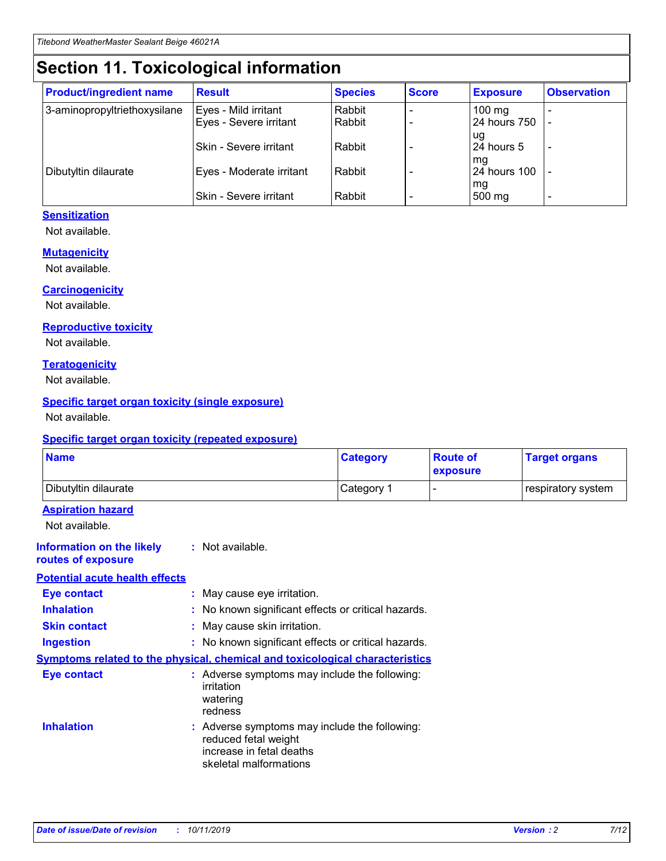# **Section 11. Toxicological information**

| <b>Product/ingredient name</b> | <b>Result</b>            | <b>Species</b> | <b>Score</b> | <b>Exposure</b>           | <b>Observation</b> |
|--------------------------------|--------------------------|----------------|--------------|---------------------------|--------------------|
| 3-aminopropyltriethoxysilane   | Eyes - Mild irritant     | Rabbit         |              | $100$ mg                  |                    |
|                                | Eyes - Severe irritant   | Rabbit         |              | 24 hours 750              |                    |
|                                |                          |                |              | ug                        |                    |
|                                | Skin - Severe irritant   | Rabbit         |              | 24 hours 5                | -                  |
| Dibutyltin dilaurate           | Eyes - Moderate irritant | Rabbit         |              | mq<br><b>24 hours 100</b> |                    |
|                                |                          |                |              | mg                        |                    |
|                                | Skin - Severe irritant   | Rabbit         |              | 500 mg                    |                    |

### **Sensitization**

Not available.

#### **Mutagenicity**

Not available.

#### **Carcinogenicity**

Not available.

#### **Reproductive toxicity**

Not available.

#### **Teratogenicity**

Not available.

#### **Specific target organ toxicity (single exposure)**

Not available.

#### **Specific target organ toxicity (repeated exposure)**

| <b>Name</b>                                                                  |                                                                                                                             | <b>Category</b> | <b>Route of</b><br>exposure  | <b>Target organs</b> |
|------------------------------------------------------------------------------|-----------------------------------------------------------------------------------------------------------------------------|-----------------|------------------------------|----------------------|
| Dibutyltin dilaurate                                                         |                                                                                                                             | Category 1      | $\qquad \qquad \blacksquare$ | respiratory system   |
| <b>Aspiration hazard</b><br>Not available.                                   |                                                                                                                             |                 |                              |                      |
| <b>Information on the likely</b><br>routes of exposure                       | : Not available.                                                                                                            |                 |                              |                      |
| <b>Potential acute health effects</b>                                        |                                                                                                                             |                 |                              |                      |
| <b>Eye contact</b>                                                           | : May cause eye irritation.                                                                                                 |                 |                              |                      |
| <b>Inhalation</b>                                                            | : No known significant effects or critical hazards.                                                                         |                 |                              |                      |
| <b>Skin contact</b>                                                          | : May cause skin irritation.                                                                                                |                 |                              |                      |
| <b>Ingestion</b>                                                             | : No known significant effects or critical hazards.                                                                         |                 |                              |                      |
| Symptoms related to the physical, chemical and toxicological characteristics |                                                                                                                             |                 |                              |                      |
| <b>Eye contact</b>                                                           | : Adverse symptoms may include the following:<br>irritation<br>watering<br>redness                                          |                 |                              |                      |
| <b>Inhalation</b>                                                            | : Adverse symptoms may include the following:<br>reduced fetal weight<br>increase in fetal deaths<br>skeletal malformations |                 |                              |                      |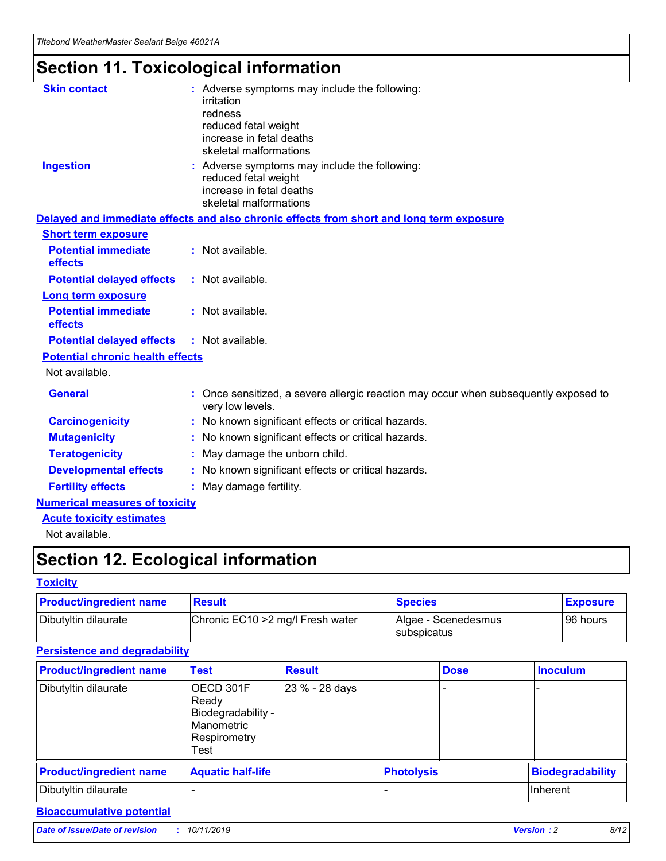# **Section 11. Toxicological information**

| <b>Skin contact</b>                     | : Adverse symptoms may include the following:                                                            |
|-----------------------------------------|----------------------------------------------------------------------------------------------------------|
|                                         | irritation                                                                                               |
|                                         | redness                                                                                                  |
|                                         | reduced fetal weight                                                                                     |
|                                         | increase in fetal deaths                                                                                 |
|                                         | skeletal malformations                                                                                   |
| <b>Ingestion</b>                        | : Adverse symptoms may include the following:                                                            |
|                                         | reduced fetal weight                                                                                     |
|                                         | increase in fetal deaths                                                                                 |
|                                         | skeletal malformations                                                                                   |
|                                         | Delayed and immediate effects and also chronic effects from short and long term exposure                 |
| <b>Short term exposure</b>              |                                                                                                          |
| <b>Potential immediate</b>              | : Not available.                                                                                         |
| effects                                 |                                                                                                          |
| <b>Potential delayed effects</b>        | : Not available.                                                                                         |
| Long term exposure                      |                                                                                                          |
| <b>Potential immediate</b>              | : Not available.                                                                                         |
| effects                                 |                                                                                                          |
| <b>Potential delayed effects</b>        | : Not available.                                                                                         |
| <b>Potential chronic health effects</b> |                                                                                                          |
| Not available.                          |                                                                                                          |
| <b>General</b>                          | : Once sensitized, a severe allergic reaction may occur when subsequently exposed to<br>very low levels. |
| <b>Carcinogenicity</b>                  | : No known significant effects or critical hazards.                                                      |
| <b>Mutagenicity</b>                     | : No known significant effects or critical hazards.                                                      |
| <b>Teratogenicity</b>                   | May damage the unborn child.                                                                             |
| <b>Developmental effects</b>            | : No known significant effects or critical hazards.                                                      |
| <b>Fertility effects</b>                | May damage fertility.                                                                                    |
| <b>Numerical measures of toxicity</b>   |                                                                                                          |
| <b>Acute toxicity estimates</b>         |                                                                                                          |
| الملحلة والمستحقق فالمرابط              |                                                                                                          |

Not available.

# **Section 12. Ecological information**

#### **Toxicity**

| <b>Product/ingredient name</b> | <b>Result</b>                     | <b>Species</b>                       | <b>Exposure</b> |
|--------------------------------|-----------------------------------|--------------------------------------|-----------------|
| Dibutyltin dilaurate           | Chronic EC10 > 2 mg/l Fresh water | Algae - Scenedesmus<br>I subspicatus | l 96 hours      |

### **Persistence and degradability**

| <b>Product/ingredient name</b> | Test                                                                           | <b>Result</b>  |                   | <b>Dose</b> | <b>Inoculum</b>         |
|--------------------------------|--------------------------------------------------------------------------------|----------------|-------------------|-------------|-------------------------|
| Dibutyltin dilaurate           | OECD 301F<br>Ready<br>Biodegradability -<br>Manometric<br>Respirometry<br>Test | 23 % - 28 days |                   |             |                         |
| <b>Product/ingredient name</b> | <b>Aquatic half-life</b>                                                       |                | <b>Photolysis</b> |             | <b>Biodegradability</b> |
| Dibutyltin dilaurate           |                                                                                |                |                   |             | Inherent                |

### **Bioaccumulative potential**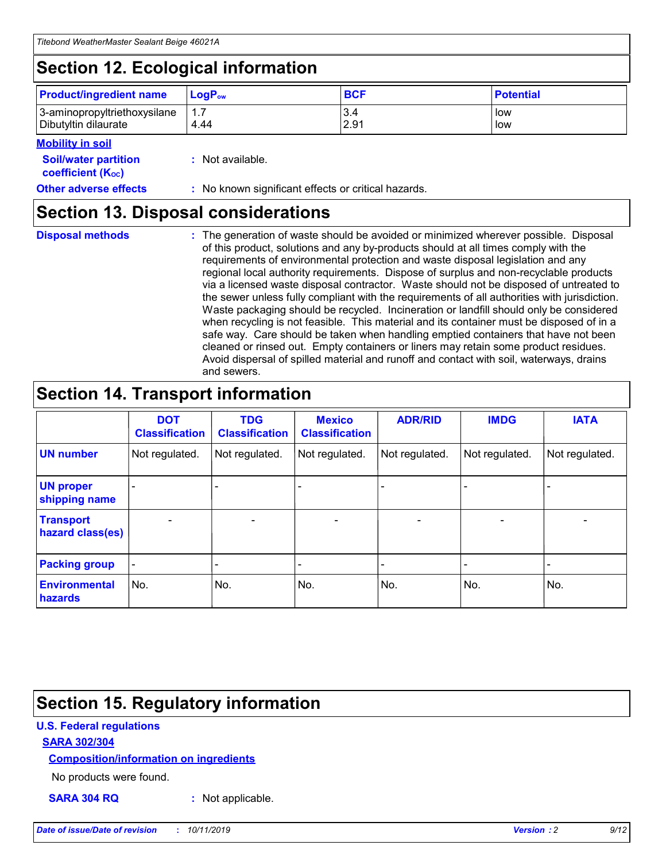# **Section 12. Ecological information**

| <b>Product/ingredient name</b> | $LoaPow$ | <b>BCF</b> | <b>Potential</b> |
|--------------------------------|----------|------------|------------------|
| 3-aminopropyltriethoxysilane   | 1.7      | 3.4        | low              |
| Dibutyltin dilaurate           | 4.44     | 2.91       | low              |

#### **Mobility in soil**

| <i></i>                                                       |                                                     |
|---------------------------------------------------------------|-----------------------------------------------------|
| <b>Soil/water partition</b><br>coefficient (K <sub>oc</sub> ) | : Not available.                                    |
| <b>Other adverse effects</b>                                  | : No known significant effects or critical hazards. |

## **Section 13. Disposal considerations**

**Disposal methods :**

The generation of waste should be avoided or minimized wherever possible. Disposal of this product, solutions and any by-products should at all times comply with the requirements of environmental protection and waste disposal legislation and any regional local authority requirements. Dispose of surplus and non-recyclable products via a licensed waste disposal contractor. Waste should not be disposed of untreated to the sewer unless fully compliant with the requirements of all authorities with jurisdiction. Waste packaging should be recycled. Incineration or landfill should only be considered when recycling is not feasible. This material and its container must be disposed of in a safe way. Care should be taken when handling emptied containers that have not been cleaned or rinsed out. Empty containers or liners may retain some product residues. Avoid dispersal of spilled material and runoff and contact with soil, waterways, drains and sewers.

# **Section 14. Transport information**

|                                      | <b>DOT</b><br><b>Classification</b> | <b>TDG</b><br><b>Classification</b> | <b>Mexico</b><br><b>Classification</b> | <b>ADR/RID</b>           | <b>IMDG</b>              | <b>IATA</b>    |
|--------------------------------------|-------------------------------------|-------------------------------------|----------------------------------------|--------------------------|--------------------------|----------------|
| <b>UN number</b>                     | Not regulated.                      | Not regulated.                      | Not regulated.                         | Not regulated.           | Not regulated.           | Not regulated. |
| <b>UN proper</b><br>shipping name    | $\blacksquare$                      |                                     |                                        |                          |                          |                |
| <b>Transport</b><br>hazard class(es) | $\blacksquare$                      | $\overline{\phantom{a}}$            | $\overline{\phantom{a}}$               | $\overline{\phantom{a}}$ | $\overline{\phantom{a}}$ | $\blacksquare$ |
| <b>Packing group</b>                 | $\overline{\phantom{a}}$            | -                                   | -                                      | -                        |                          | -              |
| <b>Environmental</b><br>hazards      | No.                                 | No.                                 | No.                                    | No.                      | No.                      | No.            |

# **Section 15. Regulatory information**

### **U.S. Federal regulations**

#### **SARA 302/304**

#### **Composition/information on ingredients**

No products were found.

**SARA 304 RQ :** Not applicable.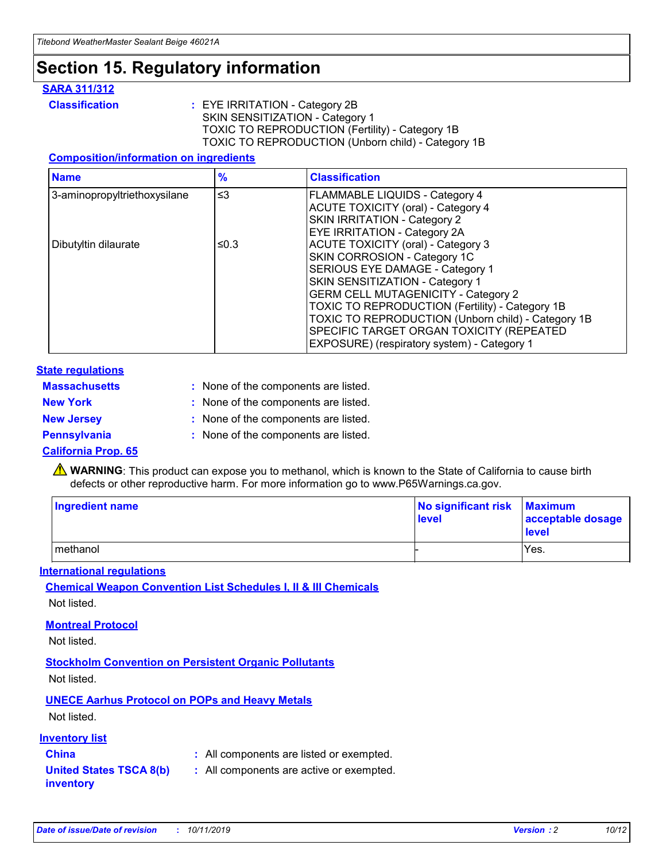# **Section 15. Regulatory information**

#### **SARA 311/312**

**Classification :** EYE IRRITATION - Category 2B SKIN SENSITIZATION - Category 1 TOXIC TO REPRODUCTION (Fertility) - Category 1B TOXIC TO REPRODUCTION (Unborn child) - Category 1B

#### **Composition/information on ingredients**

| <b>Name</b>                  | $\frac{9}{6}$ | <b>Classification</b>                                                                                            |
|------------------------------|---------------|------------------------------------------------------------------------------------------------------------------|
| 3-aminopropyltriethoxysilane | $\leq$ 3      | <b>FLAMMABLE LIQUIDS - Category 4</b><br><b>ACUTE TOXICITY (oral) - Category 4</b>                               |
|                              |               | SKIN IRRITATION - Category 2<br>EYE IRRITATION - Category 2A                                                     |
| Dibutyltin dilaurate         | ≤0.3          | ACUTE TOXICITY (oral) - Category 3<br>SKIN CORROSION - Category 1C                                               |
|                              |               | SERIOUS EYE DAMAGE - Category 1<br>SKIN SENSITIZATION - Category 1<br><b>GERM CELL MUTAGENICITY - Category 2</b> |
|                              |               | TOXIC TO REPRODUCTION (Fertility) - Category 1B<br>TOXIC TO REPRODUCTION (Unborn child) - Category 1B            |
|                              |               | SPECIFIC TARGET ORGAN TOXICITY (REPEATED<br>EXPOSURE) (respiratory system) - Category 1                          |

#### **State regulations**

| <b>Massachusetts</b> | : None of the components are listed. |
|----------------------|--------------------------------------|
| <b>New York</b>      | : None of the components are listed. |
| <b>New Jersey</b>    | : None of the components are listed. |
| <b>Pennsylvania</b>  | : None of the components are listed. |

#### **California Prop. 65**

**A** WARNING: This product can expose you to methanol, which is known to the State of California to cause birth defects or other reproductive harm. For more information go to www.P65Warnings.ca.gov.

| <b>Ingredient name</b> | No significant risk Maximum<br>level | acceptable dosage<br>level |
|------------------------|--------------------------------------|----------------------------|
| methanol               |                                      | Yes.                       |

#### **International regulations**

**Chemical Weapon Convention List Schedules I, II & III Chemicals** Not listed.

#### **Montreal Protocol**

Not listed.

#### **Stockholm Convention on Persistent Organic Pollutants**

Not listed.

### **UNECE Aarhus Protocol on POPs and Heavy Metals**

Not listed.

#### **Inventory list**

## **China :** All components are listed or exempted.

**United States TSCA 8(b) inventory :** All components are active or exempted.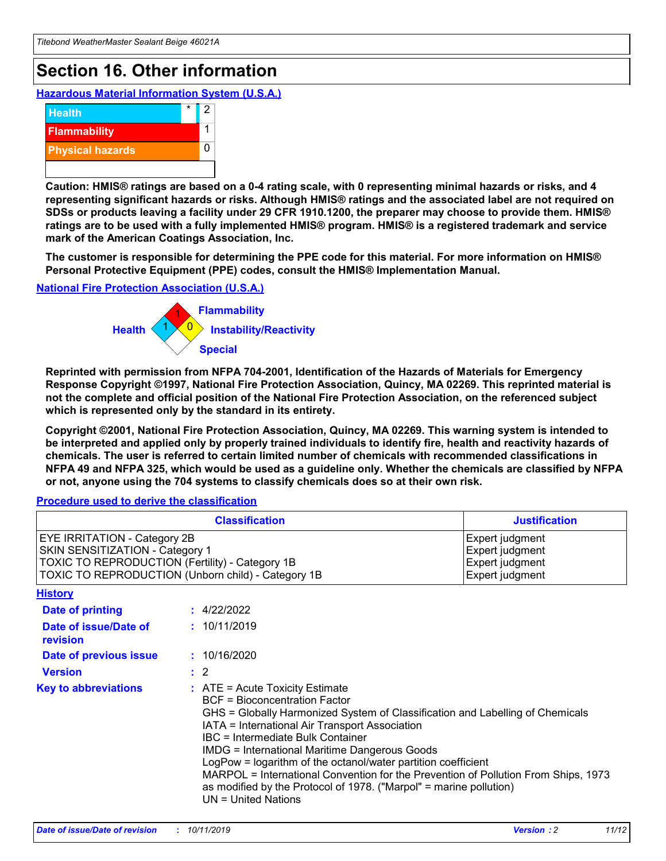# **Section 16. Other information**

**Hazardous Material Information System (U.S.A.)**



**Caution: HMIS® ratings are based on a 0-4 rating scale, with 0 representing minimal hazards or risks, and 4 representing significant hazards or risks. Although HMIS® ratings and the associated label are not required on SDSs or products leaving a facility under 29 CFR 1910.1200, the preparer may choose to provide them. HMIS® ratings are to be used with a fully implemented HMIS® program. HMIS® is a registered trademark and service mark of the American Coatings Association, Inc.**

**The customer is responsible for determining the PPE code for this material. For more information on HMIS® Personal Protective Equipment (PPE) codes, consult the HMIS® Implementation Manual.**

#### **National Fire Protection Association (U.S.A.)**



**Reprinted with permission from NFPA 704-2001, Identification of the Hazards of Materials for Emergency Response Copyright ©1997, National Fire Protection Association, Quincy, MA 02269. This reprinted material is not the complete and official position of the National Fire Protection Association, on the referenced subject which is represented only by the standard in its entirety.**

**Copyright ©2001, National Fire Protection Association, Quincy, MA 02269. This warning system is intended to be interpreted and applied only by properly trained individuals to identify fire, health and reactivity hazards of chemicals. The user is referred to certain limited number of chemicals with recommended classifications in NFPA 49 and NFPA 325, which would be used as a guideline only. Whether the chemicals are classified by NFPA or not, anyone using the 704 systems to classify chemicals does so at their own risk.**

**Procedure used to derive the classification**

| <b>Classification</b>                                                                                                                                                    |                                                                                                                                                  | <b>Justification</b>                                                                                                                                                                                                                                                                                                                                                                                                 |  |
|--------------------------------------------------------------------------------------------------------------------------------------------------------------------------|--------------------------------------------------------------------------------------------------------------------------------------------------|----------------------------------------------------------------------------------------------------------------------------------------------------------------------------------------------------------------------------------------------------------------------------------------------------------------------------------------------------------------------------------------------------------------------|--|
| EYE IRRITATION - Category 2B<br>SKIN SENSITIZATION - Category 1<br>TOXIC TO REPRODUCTION (Fertility) - Category 1B<br>TOXIC TO REPRODUCTION (Unborn child) - Category 1B |                                                                                                                                                  | Expert judgment<br>Expert judgment<br>Expert judgment<br>Expert judgment                                                                                                                                                                                                                                                                                                                                             |  |
| <b>History</b>                                                                                                                                                           |                                                                                                                                                  |                                                                                                                                                                                                                                                                                                                                                                                                                      |  |
| Date of printing                                                                                                                                                         | : 4/22/2022                                                                                                                                      |                                                                                                                                                                                                                                                                                                                                                                                                                      |  |
| Date of issue/Date of<br>revision                                                                                                                                        | : 10/11/2019                                                                                                                                     |                                                                                                                                                                                                                                                                                                                                                                                                                      |  |
| Date of previous issue                                                                                                                                                   | : 10/16/2020                                                                                                                                     |                                                                                                                                                                                                                                                                                                                                                                                                                      |  |
| <b>Version</b>                                                                                                                                                           | $\therefore$ 2                                                                                                                                   |                                                                                                                                                                                                                                                                                                                                                                                                                      |  |
| <b>Key to abbreviations</b>                                                                                                                                              | $\therefore$ ATE = Acute Toxicity Estimate<br><b>BCF</b> = Bioconcentration Factor<br>IBC = Intermediate Bulk Container<br>$UN = United Nations$ | GHS = Globally Harmonized System of Classification and Labelling of Chemicals<br>IATA = International Air Transport Association<br><b>IMDG = International Maritime Dangerous Goods</b><br>LogPow = logarithm of the octanol/water partition coefficient<br>MARPOL = International Convention for the Prevention of Pollution From Ships, 1973<br>as modified by the Protocol of 1978. ("Marpol" = marine pollution) |  |